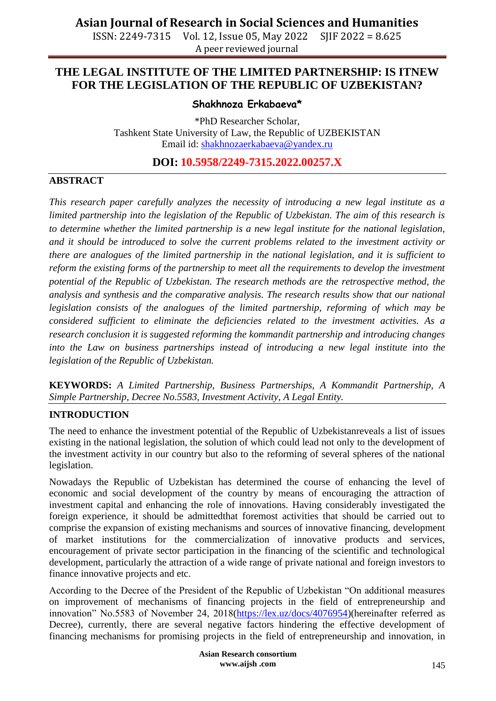ISSN: 2249-7315 Vol. 12, Issue 05, May 2022 SJIF 2022 = 8.625 A peer reviewed journal

#### **THE LEGAL INSTITUTE OF THE LIMITED PARTNERSHIP: IS ITNEW FOR THE LEGISLATION OF THE REPUBLIC OF UZBEKISTAN?**

**Shakhnoza Erkabaeva\***

\*PhD Researcher Scholar, Tashkent State University of Law, the Republic of UZBEKISTAN Email id: [shakhnozaerkabaeva@yandex.ru](mailto:shakhnozaerkabaeva@yandex.ru)

**DOI: 10.5958/2249-7315.2022.00257.X**

#### **ABSTRACT**

*This research paper carefully analyzes the necessity of introducing a new legal institute as a limited partnership into the legislation of the Republic of Uzbekistan. The aim of this research is to determine whether the limited partnership is a new legal institute for the national legislation, and it should be introduced to solve the current problems related to the investment activity or there are analogues of the limited partnership in the national legislation, and it is sufficient to reform the existing forms of the partnership to meet all the requirements to develop the investment potential of the Republic of Uzbekistan. The research methods are the retrospective method, the analysis and synthesis and the comparative analysis. The research results show that our national legislation consists of the analogues of the limited partnership, reforming of which may be considered sufficient to eliminate the deficiencies related to the investment activities. As a research conclusion it is suggested reforming the kommandit partnership and introducing changes*  into the Law on business partnerships instead of introducing a new legal institute into the *legislation of the Republic of Uzbekistan.*

**KEYWORDS:** *A Limited Partnership, Business Partnerships, A Kommandit Partnership, A Simple Partnership, Decree No.5583, Investment Activity, A Legal Entity.*

#### **INTRODUCTION**

The need to enhance the investment potential of the Republic of Uzbekistanreveals a list of issues existing in the national legislation, the solution of which could lead not only to the development of the investment activity in our country but also to the reforming of several spheres of the national legislation.

Nowadays the Republic of Uzbekistan has determined the course of enhancing the level of economic and social development of the country by means of encouraging the attraction of investment capital and enhancing the role of innovations. Having considerably investigated the foreign experience, it should be admittedthat foremost activities that should be carried out to comprise the expansion of existing mechanisms and sources of innovative financing, development of market institutions for the commercialization of innovative products and services, encouragement of private sector participation in the financing of the scientific and technological development, particularly the attraction of a wide range of private national and foreign investors to finance innovative projects and etc.

According to the Decree of the President of the Republic of Uzbekistan "On additional measures on improvement of mechanisms of financing projects in the field of entrepreneurship and innovation" No.5583 of November 24, 2018[\(https://lex.uz/docs/4076954\)](https://lex.uz/docs/4076954)(hereinafter referred as Decree), currently, there are several negative factors hindering the effective development of financing mechanisms for promising projects in the field of entrepreneurship and innovation, in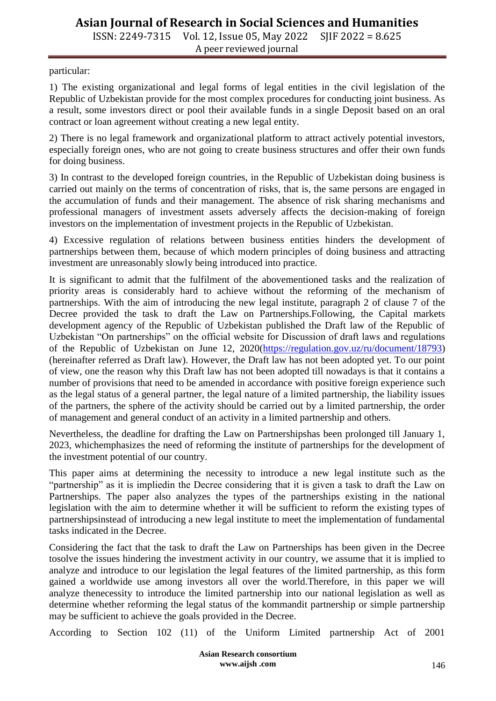ISSN: 2249-7315 Vol. 12, Issue 05, May 2022 SJIF 2022 = 8.625 A peer reviewed journal

particular:

1) The existing organizational and legal forms of legal entities in the civil legislation of the Republic of Uzbekistan provide for the most complex procedures for conducting joint business. As a result, some investors direct or pool their available funds in a single Deposit based on an oral contract or loan agreement without creating a new legal entity.

2) There is no legal framework and organizational platform to attract actively potential investors, especially foreign ones, who are not going to create business structures and offer their own funds for doing business.

3) In contrast to the developed foreign countries, in the Republic of Uzbekistan doing business is carried out mainly on the terms of concentration of risks, that is, the same persons are engaged in the accumulation of funds and their management. The absence of risk sharing mechanisms and professional managers of investment assets adversely affects the decision-making of foreign investors on the implementation of investment projects in the Republic of Uzbekistan.

4) Excessive regulation of relations between business entities hinders the development of partnerships between them, because of which modern principles of doing business and attracting investment are unreasonably slowly being introduced into practice.

It is significant to admit that the fulfilment of the abovementioned tasks and the realization of priority areas is considerably hard to achieve without the reforming of the mechanism of partnerships. With the aim of introducing the new legal institute, paragraph 2 of clause 7 of the Decree provided the task to draft the Law on Partnerships.Following, the Capital markets development agency of the Republic of Uzbekistan published the Draft law of the Republic of Uzbekistan "On partnerships" on the official website for Discussion of draft laws and regulations of the Republic of Uzbekistan on June 12, 2020[\(https://regulation.gov.uz/ru/document/18793\)](https://regulation.gov.uz/ru/document/18793) (hereinafter referred as Draft law). However, the Draft law has not been adopted yet. To our point of view, one the reason why this Draft law has not been adopted till nowadays is that it contains a number of provisions that need to be amended in accordance with positive foreign experience such as the legal status of a general partner, the legal nature of a limited partnership, the liability issues of the partners, the sphere of the activity should be carried out by a limited partnership, the order of management and general conduct of an activity in a limited partnership and others.

Nevertheless, the deadline for drafting the Law on Partnershipshas been prolonged till January 1, 2023, whichemphasizes the need of reforming the institute of partnerships for the development of the investment potential of our country.

This paper aims at determining the necessity to introduce a new legal institute such as the "partnership" as it is impliedin the Decree considering that it is given a task to draft the Law on Partnerships. The paper also analyzes the types of the partnerships existing in the national legislation with the aim to determine whether it will be sufficient to reform the existing types of partnershipsinstead of introducing a new legal institute to meet the implementation of fundamental tasks indicated in the Decree.

Considering the fact that the task to draft the Law on Partnerships has been given in the Decree tosolve the issues hindering the investment activity in our country, we assume that it is implied to analyze and introduce to our legislation the legal features of the limited partnership, as this form gained a worldwide use among investors all over the world.Therefore, in this paper we will analyze thenecessity to introduce the limited partnership into our national legislation as well as determine whether reforming the legal status of the kommandit partnership or simple partnership may be sufficient to achieve the goals provided in the Decree.

According to Section 102 (11) of the Uniform Limited partnership Act of 2001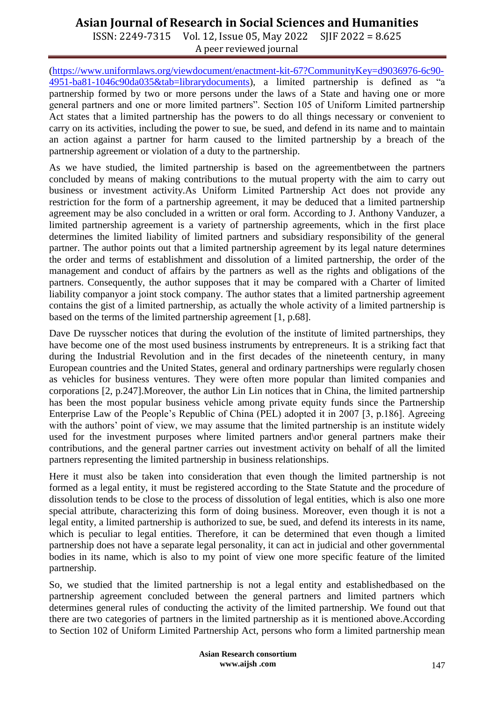ISSN: 2249-7315 Vol. 12, Issue 05, May 2022 SJIF 2022 = 8.625 A peer reviewed journal

[\(https://www.uniformlaws.org/viewdocument/enactment-kit-67?CommunityKey=d9036976-6c90-](https://www.uniformlaws.org/viewdocument/enactment-kit-67?CommunityKey=d9036976-6c90-4951-ba81-1046c90da035&tab=librarydocuments) [4951-ba81-1046c90da035&tab=librarydocuments\)](https://www.uniformlaws.org/viewdocument/enactment-kit-67?CommunityKey=d9036976-6c90-4951-ba81-1046c90da035&tab=librarydocuments), a limited partnership is defined as "a partnership formed by two or more persons under the laws of a State and having one or more general partners and one or more limited partners". Section 105 of Uniform Limited partnership Act states that a limited partnership has the powers to do all things necessary or convenient to carry on its activities, including the power to sue, be sued, and defend in its name and to maintain an action against a partner for harm caused to the limited partnership by a breach of the partnership agreement or violation of a duty to the partnership.

As we have studied, the limited partnership is based on the agreementbetween the partners concluded by means of making contributions to the mutual property with the aim to carry out business or investment activity.As Uniform Limited Partnership Act does not provide any restriction for the form of a partnership agreement, it may be deduced that a limited partnership agreement may be also concluded in a written or oral form. According to J. Anthony Vanduzer, a limited partnership agreement is a variety of partnership agreements, which in the first place determines the limited liability of limited partners and subsidiary responsibility of the general partner. The author points out that a limited partnership agreement by its legal nature determines the order and terms of establishment and dissolution of a limited partnership, the order of the management and conduct of affairs by the partners as well as the rights and obligations of the partners. Consequently, the author supposes that it may be compared with a Charter of limited liability companyor a joint stock company. The author states that a limited partnership agreement contains the gist of a limited partnership, as actually the whole activity of a limited partnership is based on the terms of the limited partnership agreement [1, p.68].

Dave De ruysscher notices that during the evolution of the institute of limited partnerships, they have become one of the most used business instruments by entrepreneurs. It is a striking fact that during the Industrial Revolution and in the first decades of the nineteenth century, in many European countries and the United States, general and ordinary partnerships were regularly chosen as vehicles for business ventures. They were often more popular than limited companies and corporations [2, p.247].Moreover, the author Lin Lin notices that in China, the limited partnership has been the most popular business vehicle among private equity funds since the Partnership Enterprise Law of the People's Republic of China (PEL) adopted it in 2007 [3, p.186]. Agreeing with the authors' point of view, we may assume that the limited partnership is an institute widely used for the investment purposes where limited partners and\or general partners make their contributions, and the general partner carries out investment activity on behalf of all the limited partners representing the limited partnership in business relationships.

Here it must also be taken into consideration that even though the limited partnership is not formed as a legal entity, it must be registered according to the State Statute and the procedure of dissolution tends to be close to the process of dissolution of legal entities, which is also one more special attribute, characterizing this form of doing business. Moreover, even though it is not a legal entity, a limited partnership is authorized to sue, be sued, and defend its interests in its name, which is peculiar to legal entities. Therefore, it can be determined that even though a limited partnership does not have a separate legal personality, it can act in judicial and other governmental bodies in its name, which is also to my point of view one more specific feature of the limited partnership.

So, we studied that the limited partnership is not a legal entity and establishedbased on the partnership agreement concluded between the general partners and limited partners which determines general rules of conducting the activity of the limited partnership. We found out that there are two categories of partners in the limited partnership as it is mentioned above.According to Section 102 of Uniform Limited Partnership Act, persons who form a limited partnership mean

> **Asian Research consortium www.aijsh .com**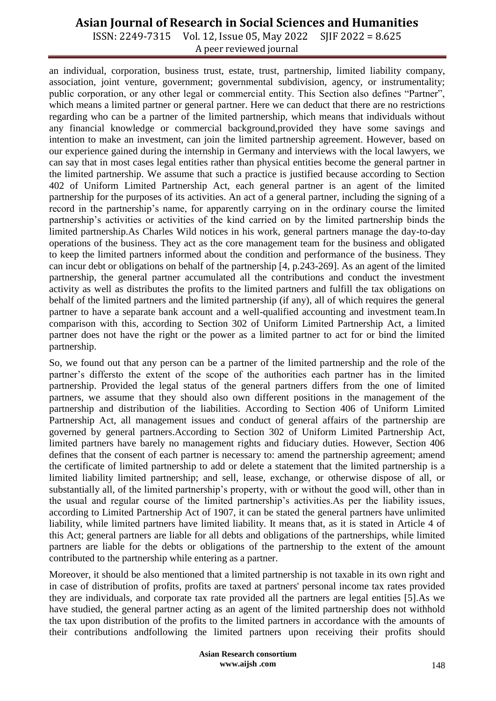ISSN: 2249-7315 Vol. 12, Issue 05, May 2022 SJIF 2022 = 8.625 A peer reviewed journal

an individual, corporation, business trust, estate, trust, partnership, limited liability company, association, joint venture, government; governmental subdivision, agency, or instrumentality; public corporation, or any other legal or commercial entity. This Section also defines "Partner", which means a limited partner or general partner. Here we can deduct that there are no restrictions regarding who can be a partner of the limited partnership, which means that individuals without any financial knowledge or commercial background,provided they have some savings and intention to make an investment, can join the limited partnership agreement. However, based on our experience gained during the internship in Germany and interviews with the local lawyers, we can say that in most cases legal entities rather than physical entities become the general partner in the limited partnership. We assume that such a practice is justified because according to Section 402 of Uniform Limited Partnership Act, each general partner is an agent of the limited partnership for the purposes of its activities. An act of a general partner, including the signing of a record in the partnership's name, for apparently carrying on in the ordinary course the limited partnership's activities or activities of the kind carried on by the limited partnership binds the limited partnership.As Charles Wild notices in his work, general partners manage the day-to-day operations of the business. They act as the core management team for the business and obligated to keep the limited partners informed about the condition and performance of the business. They can incur debt or obligations on behalf of the partnership [4, p.243-269]. As an agent of the limited partnership, the general partner accumulated all the contributions and conduct the investment activity as well as distributes the profits to the limited partners and fulfill the tax obligations on behalf of the limited partners and the limited partnership (if any), all of which requires the general partner to have a separate bank account and a well-qualified accounting and investment team.In comparison with this, according to Section 302 of Uniform Limited Partnership Act, a limited partner does not have the right or the power as a limited partner to act for or bind the limited partnership.

So, we found out that any person can be a partner of the limited partnership and the role of the partner's differsto the extent of the scope of the authorities each partner has in the limited partnership. Provided the legal status of the general partners differs from the one of limited partners, we assume that they should also own different positions in the management of the partnership and distribution of the liabilities. According to Section 406 of Uniform Limited Partnership Act, all management issues and conduct of general affairs of the partnership are governed by general partners.According to Section 302 of Uniform Limited Partnership Act, limited partners have barely no management rights and fiduciary duties. However, Section 406 defines that the consent of each partner is necessary to: amend the partnership agreement; amend the certificate of limited partnership to add or delete a statement that the limited partnership is a limited liability limited partnership; and sell, lease, exchange, or otherwise dispose of all, or substantially all, of the limited partnership's property, with or without the good will, other than in the usual and regular course of the limited partnership's activities.As per the liability issues, according to Limited Partnership Act of 1907, it can be stated the general partners have unlimited liability, while limited partners have limited liability. It means that, as it is stated in Article 4 of this Act; general partners are liable for all debts and obligations of the partnerships, while limited partners are liable for the debts or obligations of the partnership to the extent of the amount contributed to the partnership while entering as a partner.

Moreover, it should be also mentioned that a limited partnership is not taxable in its own right and in case of distribution of profits, profits are taxed at partners' personal income tax rates provided they are individuals, and corporate tax rate provided all the partners are legal entities [5].As we have studied, the general partner acting as an agent of the limited partnership does not withhold the tax upon distribution of the profits to the limited partners in accordance with the amounts of their contributions andfollowing the limited partners upon receiving their profits should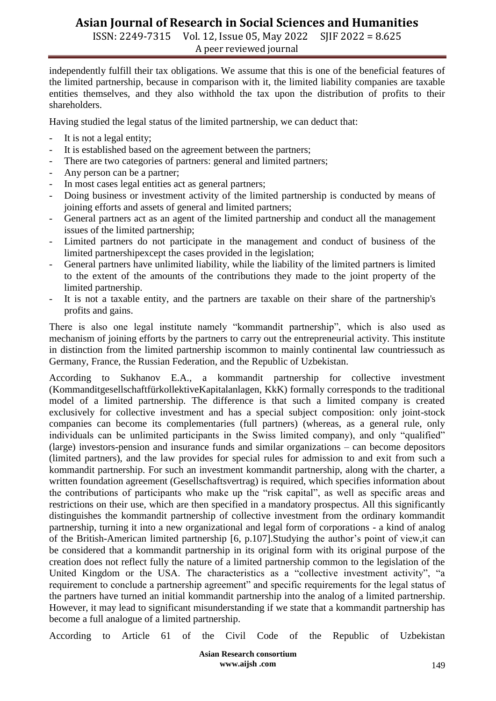ISSN: 2249-7315 Vol. 12, Issue 05, May 2022 SJIF 2022 = 8.625 A peer reviewed journal

independently fulfill their tax obligations. We assume that this is one of the beneficial features of the limited partnership, because in comparison with it, the limited liability companies are taxable entities themselves, and they also withhold the tax upon the distribution of profits to their shareholders.

Having studied the legal status of the limited partnership, we can deduct that:

- It is not a legal entity;
- It is established based on the agreement between the partners;
- There are two categories of partners: general and limited partners;
- Any person can be a partner;
- In most cases legal entities act as general partners;
- Doing business or investment activity of the limited partnership is conducted by means of joining efforts and assets of general and limited partners;
- General partners act as an agent of the limited partnership and conduct all the management issues of the limited partnership;
- Limited partners do not participate in the management and conduct of business of the limited partnershipexcept the cases provided in the legislation;
- General partners have unlimited liability, while the liability of the limited partners is limited to the extent of the amounts of the contributions they made to the joint property of the limited partnership.
- It is not a taxable entity, and the partners are taxable on their share of the partnership's profits and gains.

There is also one legal institute namely "kommandit partnership", which is also used as mechanism of joining efforts by the partners to carry out the entrepreneurial activity. This institute in distinction from the limited partnership iscommon to mainly continental law countriessuch as Germany, France, the Russian Federation, and the Republic of Uzbekistan.

According to Sukhanov E.A., a kommandit partnership for collective investment (KommanditgesellschaftfürkollektiveKapitalanlagen, KkK) formally corresponds to the traditional model of a limited partnership. The difference is that such a limited company is created exclusively for collective investment and has a special subject composition: only joint-stock companies can become its complementaries (full partners) (whereas, as a general rule, only individuals can be unlimited participants in the Swiss limited company), and only "qualified" (large) investors-pension and insurance funds and similar organizations – can become depositors (limited partners), and the law provides for special rules for admission to and exit from such a kommandit partnership. For such an investment kommandit partnership, along with the charter, a written foundation agreement (Gesellschaftsvertrag) is required, which specifies information about the contributions of participants who make up the "risk capital", as well as specific areas and restrictions on their use, which are then specified in a mandatory prospectus. All this significantly distinguishes the kommandit partnership of collective investment from the ordinary kommandit partnership, turning it into a new organizational and legal form of corporations - a kind of analog of the British-American limited partnership [6, p.107].Studying the author's point of view,it can be considered that a kommandit partnership in its original form with its original purpose of the creation does not reflect fully the nature of a limited partnership common to the legislation of the United Kingdom or the USA. The characteristics as a "collective investment activity", "a requirement to conclude a partnership agreement" and specific requirements for the legal status of the partners have turned an initial kommandit partnership into the analog of a limited partnership. However, it may lead to significant misunderstanding if we state that a kommandit partnership has become a full analogue of a limited partnership.

According to Article 61 of the Civil Code of the Republic of Uzbekistan

**Asian Research consortium www.aijsh .com**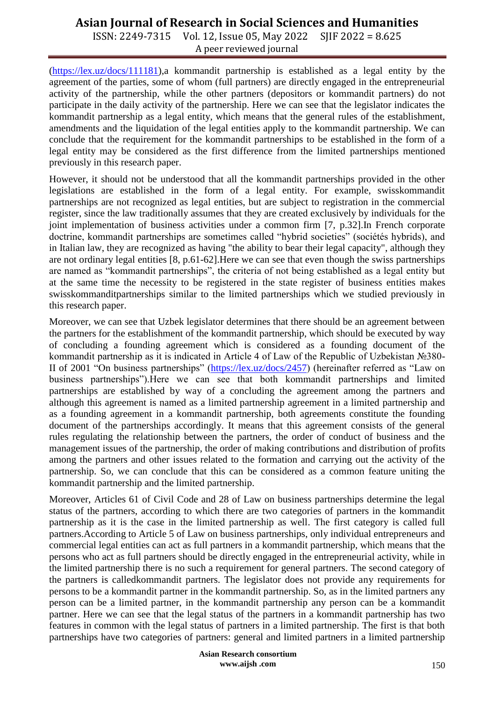ISSN: 2249-7315 Vol. 12, Issue 05, May 2022 SJIF 2022 = 8.625 A peer reviewed journal

[\(https://lex.uz/docs/111181\)](https://lex.uz/docs/111181),a kommandit partnership is established as a legal entity by the agreement of the parties, some of whom (full partners) are directly engaged in the entrepreneurial activity of the partnership, while the other partners (depositors or kommandit partners) do not participate in the daily activity of the partnership. Here we can see that the legislator indicates the kommandit partnership as a legal entity, which means that the general rules of the establishment, amendments and the liquidation of the legal entities apply to the kommandit partnership. We can conclude that the requirement for the kommandit partnerships to be established in the form of a legal entity may be considered as the first difference from the limited partnerships mentioned previously in this research paper.

However, it should not be understood that all the kommandit partnerships provided in the other legislations are established in the form of a legal entity. For example, swisskommandit partnerships are not recognized as legal entities, but are subject to registration in the commercial register, since the law traditionally assumes that they are created exclusively by individuals for the joint implementation of business activities under a common firm [7, p.32].In French corporate doctrine, kommandit partnerships are sometimes called "hybrid societies" (sociétés hybrids), and in Italian law, they are recognized as having "the ability to bear their legal capacity", although they are not ordinary legal entities [8, p.61-62].Here we can see that even though the swiss partnerships are named as "kommandit partnerships", the criteria of not being established as a legal entity but at the same time the necessity to be registered in the state register of business entities makes swisskommanditpartnerships similar to the limited partnerships which we studied previously in this research paper.

Moreover, we can see that Uzbek legislator determines that there should be an agreement between the partners for the establishment of the kommandit partnership, which should be executed by way of concluding a founding agreement which is considered as a founding document of the kommandit partnership as it is indicated in Article 4 of Law of the Republic of Uzbekistan №380- II of 2001 "On business partnerships" [\(https://lex.uz/docs/2457\)](https://lex.uz/docs/2457) (hereinafter referred as "Law on business partnerships").Here we can see that both kommandit partnerships and limited partnerships are established by way of a concluding the agreement among the partners and although this agreement is named as a limited partnership agreement in a limited partnership and as a founding agreement in a kommandit partnership, both agreements constitute the founding document of the partnerships accordingly. It means that this agreement consists of the general rules regulating the relationship between the partners, the order of conduct of business and the management issues of the partnership, the order of making contributions and distribution of profits among the partners and other issues related to the formation and carrying out the activity of the partnership. So, we can conclude that this can be considered as a common feature uniting the kommandit partnership and the limited partnership.

Moreover, Articles 61 of Civil Code and 28 of Law on business partnerships determine the legal status of the partners, according to which there are two categories of partners in the kommandit partnership as it is the case in the limited partnership as well. The first category is called full partners.According to Article 5 of Law on business partnerships, only individual entrepreneurs and commercial legal entities can act as full partners in a kommandit partnership, which means that the persons who act as full partners should be directly engaged in the entrepreneurial activity, while in the limited partnership there is no such a requirement for general partners. The second category of the partners is calledkommandit partners. The legislator does not provide any requirements for persons to be a kommandit partner in the kommandit partnership. So, as in the limited partners any person can be a limited partner, in the kommandit partnership any person can be a kommandit partner. Here we can see that the legal status of the partners in a kommandit partnership has two features in common with the legal status of partners in a limited partnership. The first is that both partnerships have two categories of partners: general and limited partners in a limited partnership

> **Asian Research consortium www.aijsh .com**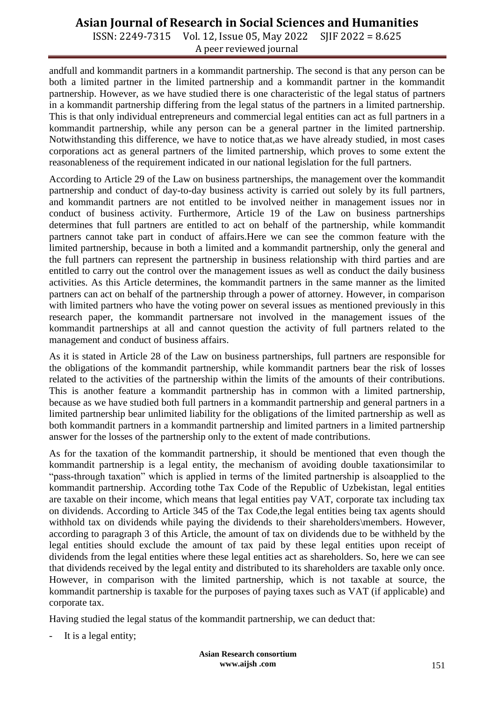ISSN: 2249-7315 Vol. 12, Issue 05, May 2022 SJIF 2022 = 8.625 A peer reviewed journal

andfull and kommandit partners in a kommandit partnership. The second is that any person can be both a limited partner in the limited partnership and a kommandit partner in the kommandit partnership. However, as we have studied there is one characteristic of the legal status of partners in a kommandit partnership differing from the legal status of the partners in a limited partnership. This is that only individual entrepreneurs and commercial legal entities can act as full partners in a kommandit partnership, while any person can be a general partner in the limited partnership. Notwithstanding this difference, we have to notice that,as we have already studied, in most cases corporations act as general partners of the limited partnership, which proves to some extent the reasonableness of the requirement indicated in our national legislation for the full partners.

According to Article 29 of the Law on business partnerships, the management over the kommandit partnership and conduct of day-to-day business activity is carried out solely by its full partners, and kommandit partners are not entitled to be involved neither in management issues nor in conduct of business activity. Furthermore, Article 19 of the Law on business partnerships determines that full partners are entitled to act on behalf of the partnership, while kommandit partners cannot take part in conduct of affairs.Here we can see the common feature with the limited partnership, because in both a limited and a kommandit partnership, only the general and the full partners can represent the partnership in business relationship with third parties and are entitled to carry out the control over the management issues as well as conduct the daily business activities. As this Article determines, the kommandit partners in the same manner as the limited partners can act on behalf of the partnership through a power of attorney. However, in comparison with limited partners who have the voting power on several issues as mentioned previously in this research paper, the kommandit partnersare not involved in the management issues of the kommandit partnerships at all and cannot question the activity of full partners related to the management and conduct of business affairs.

As it is stated in Article 28 of the Law on business partnerships, full partners are responsible for the obligations of the kommandit partnership, while kommandit partners bear the risk of losses related to the activities of the partnership within the limits of the amounts of their contributions. This is another feature a kommandit partnership has in common with a limited partnership, because as we have studied both full partners in a kommandit partnership and general partners in a limited partnership bear unlimited liability for the obligations of the limited partnership as well as both kommandit partners in a kommandit partnership and limited partners in a limited partnership answer for the losses of the partnership only to the extent of made contributions.

As for the taxation of the kommandit partnership, it should be mentioned that even though the kommandit partnership is a legal entity, the mechanism of avoiding double taxationsimilar to "pass-through taxation" which is applied in terms of the limited partnership is alsoapplied to the kommandit partnership. According tothe Tax Code of the Republic of Uzbekistan, legal entities are taxable on their income, which means that legal entities pay VAT, corporate tax including tax on dividends. According to Article 345 of the Tax Code,the legal entities being tax agents should withhold tax on dividends while paying the dividends to their shareholders\members. However, according to paragraph 3 of this Article, the amount of tax on dividends due to be withheld by the legal entities should exclude the amount of tax paid by these legal entities upon receipt of dividends from the legal entities where these legal entities act as shareholders. So, here we can see that dividends received by the legal entity and distributed to its shareholders are taxable only once. However, in comparison with the limited partnership, which is not taxable at source, the kommandit partnership is taxable for the purposes of paying taxes such as VAT (if applicable) and corporate tax.

Having studied the legal status of the kommandit partnership, we can deduct that:

- It is a legal entity;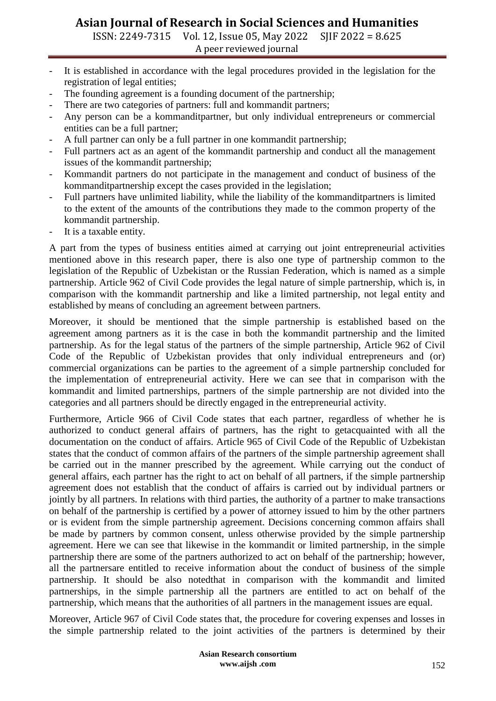ISSN: 2249-7315 Vol. 12, Issue 05, May 2022 SJIF 2022 = 8.625 A peer reviewed journal

- It is established in accordance with the legal procedures provided in the legislation for the registration of legal entities;
- The founding agreement is a founding document of the partnership;
- There are two categories of partners: full and kommandit partners;
- Any person can be a kommanditpartner, but only individual entrepreneurs or commercial entities can be a full partner;
- A full partner can only be a full partner in one kommandit partnership;
- Full partners act as an agent of the kommandit partnership and conduct all the management issues of the kommandit partnership;
- Kommandit partners do not participate in the management and conduct of business of the kommanditpartnership except the cases provided in the legislation;
- Full partners have unlimited liability, while the liability of the kommanditpartners is limited to the extent of the amounts of the contributions they made to the common property of the kommandit partnership.
- It is a taxable entity.

A part from the types of business entities aimed at carrying out joint entrepreneurial activities mentioned above in this research paper, there is also one type of partnership common to the legislation of the Republic of Uzbekistan or the Russian Federation, which is named as a simple partnership. Article 962 of Civil Code provides the legal nature of simple partnership, which is, in comparison with the kommandit partnership and like a limited partnership, not legal entity and established by means of concluding an agreement between partners.

Moreover, it should be mentioned that the simple partnership is established based on the agreement among partners as it is the case in both the kommandit partnership and the limited partnership. As for the legal status of the partners of the simple partnership, Article 962 of Civil Code of the Republic of Uzbekistan provides that only individual entrepreneurs and (or) commercial organizations can be parties to the agreement of a simple partnership concluded for the implementation of entrepreneurial activity. Here we can see that in comparison with the kommandit and limited partnerships, partners of the simple partnership are not divided into the categories and all partners should be directly engaged in the entrepreneurial activity.

Furthermore, Article 966 of Civil Code states that each partner, regardless of whether he is authorized to conduct general affairs of partners, has the right to getacquainted with all the documentation on the conduct of affairs. Article 965 of Civil Code of the Republic of Uzbekistan states that the conduct of common affairs of the partners of the simple partnership agreement shall be carried out in the manner prescribed by the agreement. While carrying out the conduct of general affairs, each partner has the right to act on behalf of all partners, if the simple partnership agreement does not establish that the conduct of affairs is carried out by individual partners or jointly by all partners. In relations with third parties, the authority of a partner to make transactions on behalf of the partnership is certified by a power of attorney issued to him by the other partners or is evident from the simple partnership agreement. Decisions concerning common affairs shall be made by partners by common consent, unless otherwise provided by the simple partnership agreement. Here we can see that likewise in the kommandit or limited partnership, in the simple partnership there are some of the partners authorized to act on behalf of the partnership; however, all the partnersare entitled to receive information about the conduct of business of the simple partnership. It should be also notedthat in comparison with the kommandit and limited partnerships, in the simple partnership all the partners are entitled to act on behalf of the partnership, which means that the authorities of all partners in the management issues are equal.

Moreover, Article 967 of Civil Code states that, the procedure for covering expenses and losses in the simple partnership related to the joint activities of the partners is determined by their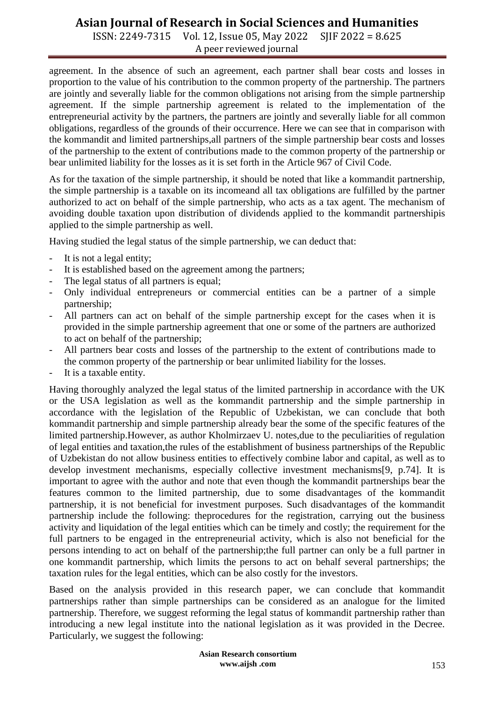ISSN: 2249-7315 Vol. 12, Issue 05, May 2022 SJIF 2022 = 8.625 A peer reviewed journal

agreement. In the absence of such an agreement, each partner shall bear costs and losses in proportion to the value of his contribution to the common property of the partnership. The partners are jointly and severally liable for the common obligations not arising from the simple partnership agreement. If the simple partnership agreement is related to the implementation of the entrepreneurial activity by the partners, the partners are jointly and severally liable for all common obligations, regardless of the grounds of their occurrence. Here we can see that in comparison with the kommandit and limited partnerships,all partners of the simple partnership bear costs and losses of the partnership to the extent of contributions made to the common property of the partnership or bear unlimited liability for the losses as it is set forth in the Article 967 of Civil Code.

As for the taxation of the simple partnership, it should be noted that like a kommandit partnership, the simple partnership is a taxable on its incomeand all tax obligations are fulfilled by the partner authorized to act on behalf of the simple partnership, who acts as a tax agent. The mechanism of avoiding double taxation upon distribution of dividends applied to the kommandit partnershipis applied to the simple partnership as well.

Having studied the legal status of the simple partnership, we can deduct that:

- It is not a legal entity;
- It is established based on the agreement among the partners;
- The legal status of all partners is equal;
- Only individual entrepreneurs or commercial entities can be a partner of a simple partnership;
- All partners can act on behalf of the simple partnership except for the cases when it is provided in the simple partnership agreement that one or some of the partners are authorized to act on behalf of the partnership;
- All partners bear costs and losses of the partnership to the extent of contributions made to the common property of the partnership or bear unlimited liability for the losses.
- It is a taxable entity.

Having thoroughly analyzed the legal status of the limited partnership in accordance with the UK or the USA legislation as well as the kommandit partnership and the simple partnership in accordance with the legislation of the Republic of Uzbekistan, we can conclude that both kommandit partnership and simple partnership already bear the some of the specific features of the limited partnership.However, as author Kholmirzaev U. notes,due to the peculiarities of regulation of legal entities and taxation,the rules of the establishment of business partnerships of the Republic of Uzbekistan do not allow business entities to effectively combine labor and capital, as well as to develop investment mechanisms, especially collective investment mechanisms[9, p.74]. It is important to agree with the author and note that even though the kommandit partnerships bear the features common to the limited partnership, due to some disadvantages of the kommandit partnership, it is not beneficial for investment purposes. Such disadvantages of the kommandit partnership include the following: theprocedures for the registration, carrying out the business activity and liquidation of the legal entities which can be timely and costly; the requirement for the full partners to be engaged in the entrepreneurial activity, which is also not beneficial for the persons intending to act on behalf of the partnership;the full partner can only be a full partner in one kommandit partnership, which limits the persons to act on behalf several partnerships; the taxation rules for the legal entities, which can be also costly for the investors.

Based on the analysis provided in this research paper, we can conclude that kommandit partnerships rather than simple partnerships can be considered as an analogue for the limited partnership. Therefore, we suggest reforming the legal status of kommandit partnership rather than introducing a new legal institute into the national legislation as it was provided in the Decree. Particularly, we suggest the following: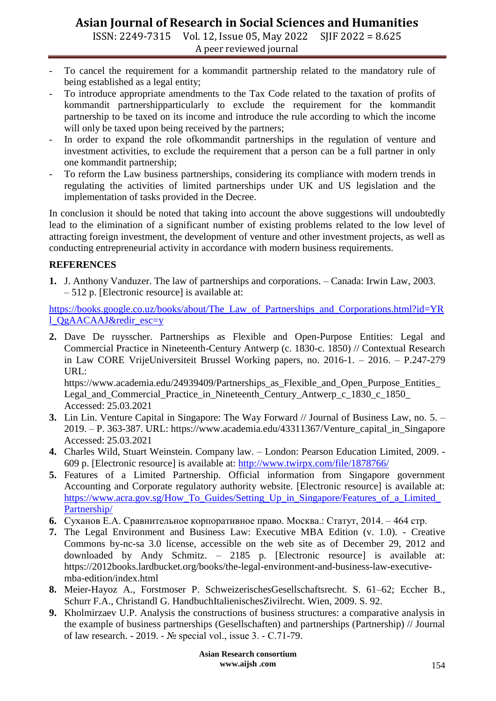ISSN: 2249-7315 Vol. 12, Issue 05, May 2022 SJIF 2022 = 8.625 A peer reviewed journal

- To cancel the requirement for a kommandit partnership related to the mandatory rule of being established as a legal entity;
- To introduce appropriate amendments to the Tax Code related to the taxation of profits of kommandit partnershipparticularly to exclude the requirement for the kommandit partnership to be taxed on its income and introduce the rule according to which the income will only be taxed upon being received by the partners;
- In order to expand the role of kommandit partnerships in the regulation of venture and investment activities, to exclude the requirement that a person can be a full partner in only one kommandit partnership;
- To reform the Law business partnerships, considering its compliance with modern trends in regulating the activities of limited partnerships under UK and US legislation and the implementation of tasks provided in the Decree.

In conclusion it should be noted that taking into account the above suggestions will undoubtedly lead to the elimination of a significant number of existing problems related to the low level of attracting foreign investment, the development of venture and other investment projects, as well as conducting entrepreneurial activity in accordance with modern business requirements.

#### **REFERENCES**

**1.** J. Anthony Vanduzer. The law of partnerships and corporations. – Canada: Irwin Law, 2003. – 512 p. [Electronic resource] is available at:

[https://books.google.co.uz/books/about/The\\_Law\\_of\\_Partnerships\\_and\\_Corporations.html?id=YR](https://books.google.co.uz/books/about/The_Law_of_Partnerships_and_Corporations.html?id=YRl_QgAACAAJ&redir_esc=y) [l\\_QgAACAAJ&redir\\_esc=y](https://books.google.co.uz/books/about/The_Law_of_Partnerships_and_Corporations.html?id=YRl_QgAACAAJ&redir_esc=y)

**2.** Dave De ruysscher. Partnerships as Flexible and Open-Purpose Entities: Legal and Commercial Practice in Nineteenth-Century Antwerp (c. 1830-c. 1850) // Contextual Research in Law CORE VrijeUniversiteit Brussel Working papers, no. 2016-1. – 2016. – P.247-279 URL:

https://www.academia.edu/24939409/Partnerships\_as\_Flexible\_and\_Open\_Purpose\_Entities\_ Legal\_and\_Commercial\_Practice\_in\_Nineteenth\_Century\_Antwerp\_c\_1830\_c\_1850\_ Accessed: 25.03.2021

- **3.** Lin Lin. Venture Capital in Singapore: The Way Forward // Journal of Business Law, no. 5. 2019. – P. 363-387. URL: https://www.academia.edu/43311367/Venture\_capital\_in\_Singapore Accessed: 25.03.2021
- **4.** Charles Wild, Stuart Weinstein. Company law. London: Pearson Education Limited, 2009. 609 p. [Electronic resource] is available at:<http://www.twirpx.com/file/1878766/>
- **5.** Features of a Limited Partnership. Official information from Singapore government Accounting and Corporate regulatory authority website. [Electronic resource] is available at: https://www.acra.gov.sg/How To Guides/Setting Up in Singapore/Features of a Limited [Partnership/](https://www.acra.gov.sg/How_To_Guides/Setting_Up_in_Singapore/Features_of_a_Limited_Partnership/)
- **6.** Суханов Е.А. Сравнительное корпоративное право. Москва.: Статут, 2014. 464 стр.
- **7.** The Legal Environment and Business Law: Executive MBA Edition (v. 1.0). Creative Commons by-nc-sa 3.0 license, accessible on the web site as of December 29, 2012 and downloaded by Andy Schmitz. – 2185 p. [Electronic resource] is available at: https://2012books.lardbucket.org/books/the-legal-environment-and-business-law-executivemba-edition/index.html
- **8.** Meier-Hayoz A., Forstmoser P. SchweizerischesGesellschaftsrecht. S. 61–62; Eccher B., Schurr F.A., Christandl G. HandbuchItalienischesZivilrecht. Wien, 2009. S. 92.
- **9.** Kholmirzaev U.P. Analysis the constructions of business structures: a comparative analysis in the example of business partnerships (Gesellschaften) and partnerships (Partnership) // Journal of law research. - 2019. - № special vol., issue 3. - С.71-79.